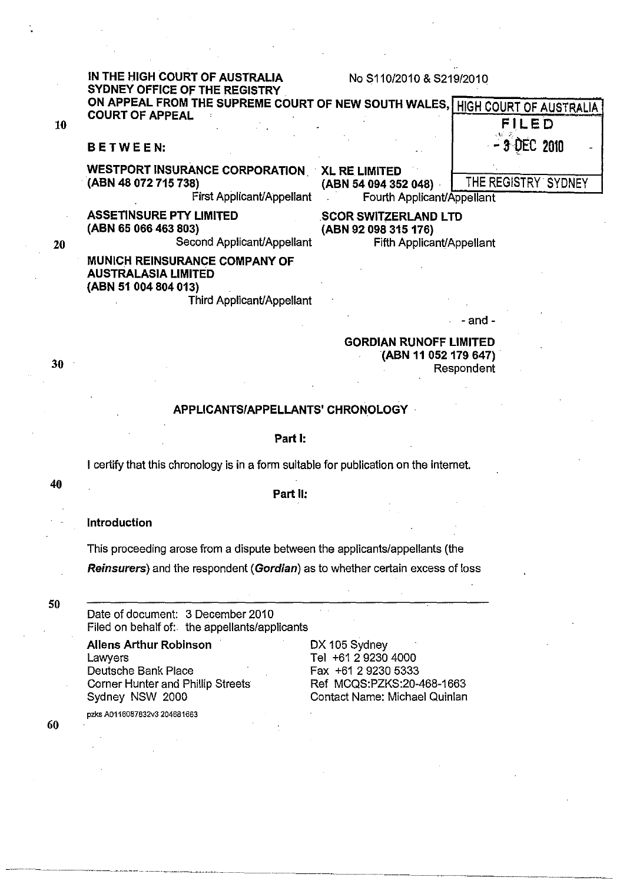|    | IN THE HIGH COURT OF AUSTRALIA<br>SYDNEY OFFICE OF THE REGISTRY                                                         | No S110/2010 & S219/2010                                                         |                     |
|----|-------------------------------------------------------------------------------------------------------------------------|----------------------------------------------------------------------------------|---------------------|
|    | ON APPEAL FROM THE SUPREME COURT OF NEW SOUTH WALES, HIGH COURT OF AUSTRALIA                                            |                                                                                  |                     |
| 10 | <b>COURT OF APPEAL</b>                                                                                                  |                                                                                  | <b>FILED</b>        |
|    | BETWEEN:                                                                                                                |                                                                                  | - 3 DEC 2010        |
|    | WESTPORT INSURANCE CORPORATION XL RE LIMITED<br>(ABN 48 072 715 738)<br>First Applicant/Appellant                       | (ABN 54 094 352 048)<br>Fourth Applicant/Appellant                               | THE REGISTRY SYDNEY |
| 20 | <b>ASSETINSURE PTY LIMITED</b><br>(ABN 65 066 463 803)<br>Second Applicant/Appellant                                    | <b>SCOR SWITZERLAND LTD</b><br>(ABN 92 098 315 176)<br>Fifth Applicant/Appellant |                     |
|    | <b>MUNICH REINSURANCE COMPANY OF</b><br><b>AUSTRALASIA LIMITED</b><br>(ABN 51 004 804 013)<br>Third Applicant/Appellant |                                                                                  |                     |
|    |                                                                                                                         |                                                                                  | - and -             |
| 30 |                                                                                                                         | <b>GORDIAN RUNOFF LIMITED</b><br>(ABN 11 052 179 647)                            | Respondent          |
|    | APPLICANTS/APPELLANTS' CHRONOLOGY                                                                                       |                                                                                  |                     |

#### Part I:

I certify that this chronology is in a form suitable for publication on the internet.

Part II:

Introduction

This proceeding arose from a dispute between the applicants/appellants (the

Reinsurers) and the respondent (Gordian) as to whether certain excess of loss

Date of document: 3 December 2010 Filed on behalf of: the appellants/applicants

Allens Arthur Robinson DX 105 Sydney Lawyers **Lawyers CONFIDENTED** Tel +61 2 9230 4000 Corner Hunter and Phillip Streets

---~.------ - - - ----- - ----- - ---.\_- - - --~ ~ ---~---

pzks A0116087832v3 204681663

Deutsche Bank Place<br>
Corner Hunter and Phillip Streets<br>
Fax +61 2 9230 5333<br>
Ref MCQS:PZKS:20-468-1663 Sydney NSW 2000 Contact Name: Michael Quinlan

60

30

40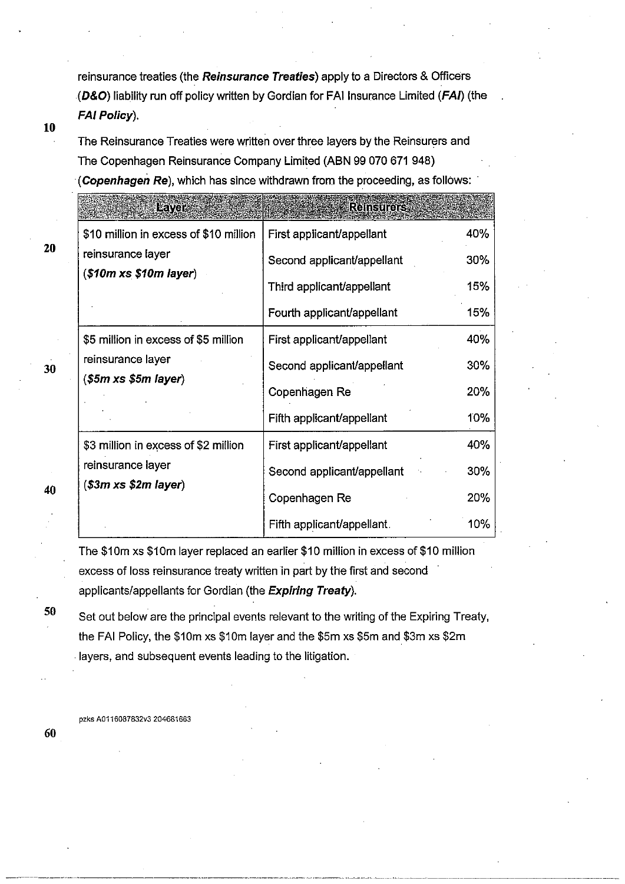reinsurance treaties (the Reinsurance Treaties) apply to a Directors & Officers (D&O) liability run off policy written by Gordian for FAI Insurance Limited (FAI) (the FAI Policy).

#### 10

20

The Reinsurance Treaties were written over three layers by the Reinsurers and The Copenhagen Reinsurance Company Limited (ABN 99 070 671 948) (Copenhagen Re), which has since withdrawn from the proceeding, as follows:

| <b>Layar</b>                                 | Reinsurers                 |     |
|----------------------------------------------|----------------------------|-----|
| \$10 million in excess of \$10 million       | First applicant/appellant  | 40% |
| reinsurance layer<br>(\$10m x\$ \$10m layer) | Second applicant/appellant | 30% |
|                                              | Third applicant/appellant  | 15% |
|                                              | Fourth applicant/appellant | 15% |
| \$5 million in excess of \$5 million         | First applicant/appellant  | 40% |
| reinsurance layer                            | Second applicant/appellant | 30% |
| $$5m$ xs \$5m layer)                         | Copenhagen Re              | 20% |
|                                              | Fifth applicant/appellant  | 10% |
| \$3 million in excess of \$2 million         | First applicant/appellant  | 40% |
| reinsurance layer                            | Second applicant/appellant | 30% |
| $$3m \times $2m \text{ layer}$$              | Copenhagen Re              | 20% |
|                                              | Fifth applicant/appellant. | 10% |

The \$10m xs \$10m layer replaced an earlier \$10 million in excess of \$10 million excess of loss reinsurance treaty written in part by the first and second applicants/appellants for Gordian (the Expiring Treaty).

Set out below are the principal events relevant to the writing of the Expiring Treaty, the FAI Policy, the \$10m xs \$10m layer and the \$5m xs \$5m and \$3m xs \$2m . layers, and subsequent events leading to the litigation.

pzks A0116087832v3 204661663

30

40

50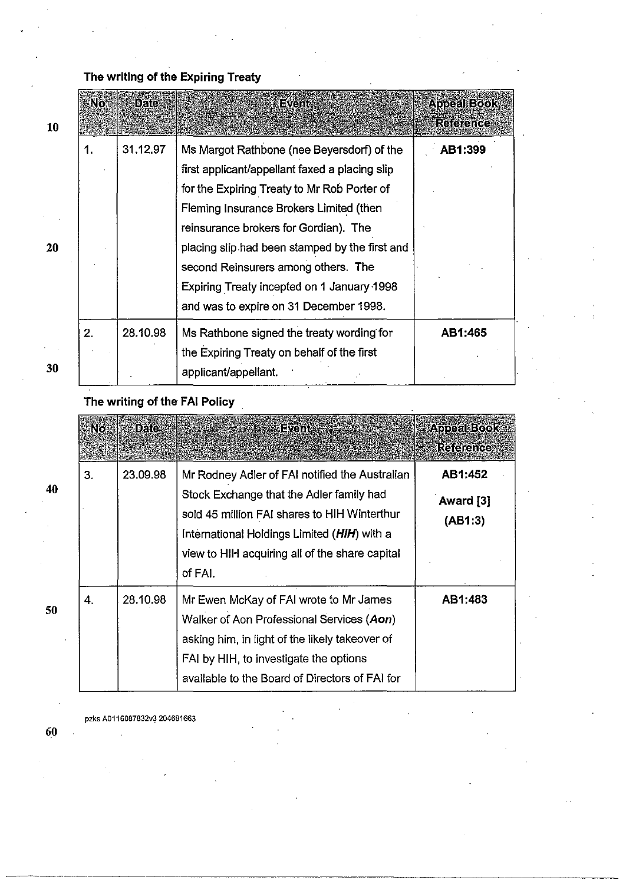## The writing of the Expiring Treaty

| 10 | No. | Date     | Event                                                                                                                                                                                                                                                                                                                                                                                                            | <b>Appeal Book</b><br>Reierree |
|----|-----|----------|------------------------------------------------------------------------------------------------------------------------------------------------------------------------------------------------------------------------------------------------------------------------------------------------------------------------------------------------------------------------------------------------------------------|--------------------------------|
| 20 | 1.  | 31.12.97 | Ms Margot Rathbone (nee Beyersdorf) of the<br>first applicant/appellant faxed a placing slip<br>for the Expiring Treaty to Mr Rob Porter of<br>Fleming Insurance Brokers Limited (then<br>reinsurance brokers for Gordian). The<br>placing slip had been stamped by the first and<br>second Reinsurers among others. The<br>Expiring Treaty incepted on 1 January 1998<br>and was to expire on 31 December 1998. | AB1:399                        |
| 30 | 2.  | 28.10.98 | Ms Rathbone signed the treaty wording for<br>the Expiring Treaty on behalf of the first<br>applicant/appellant.                                                                                                                                                                                                                                                                                                  | AB1:465                        |

The writing of the FAI Policy

|    | No | <b>Date</b> | <b>Events</b>                                                                                                                                                                                                                                          | <b>Appeal Book</b><br>Releience |
|----|----|-------------|--------------------------------------------------------------------------------------------------------------------------------------------------------------------------------------------------------------------------------------------------------|---------------------------------|
| 40 | 3. | 23.09.98    | Mr Rodney Adler of FAI notified the Australian<br>Stock Exchange that the Adler family had<br>sold 45 million FAI shares to HIH Winterthur<br>International Holdings Limited (HIH) with a<br>view to HIH acquiring all of the share capital<br>of FAI. | AB1:452<br>Award [3]<br>(AB1:3) |
| 50 | 4. | 28.10.98    | Mr Ewen McKay of FAI wrote to Mr James<br>Walker of Aon Professional Services (Aon)<br>asking him, in light of the likely takeover of<br>FAI by HIH, to investigate the options<br>available to the Board of Directors of FAI for                      | AB1:483                         |

pzks A0116087832v3 204681663

50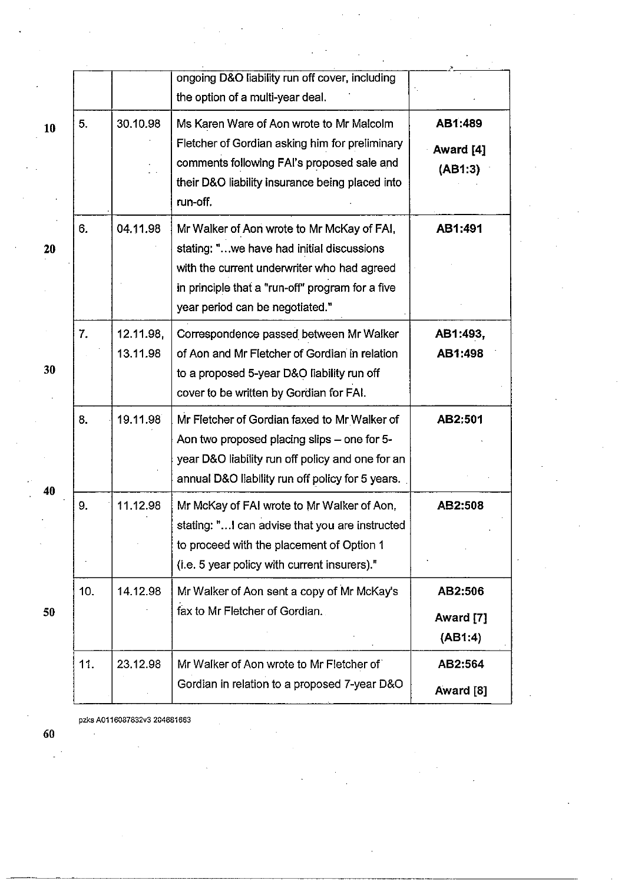|     | ongoing D&O liability run off cover, including<br>the option of a multi-year deal.                                                                                                                                                        |                                 |
|-----|-------------------------------------------------------------------------------------------------------------------------------------------------------------------------------------------------------------------------------------------|---------------------------------|
| 5.  | 30.10.98<br>Ms Karen Ware of Aon wrote to Mr Malcolm<br>Fletcher of Gordian asking him for preliminary<br>comments following FAI's proposed sale and<br>their D&O liability insurance being placed into<br>run-off.                       | AB1:489<br>Award [4]<br>(AB1:3) |
| 6.  | 04.11.98<br>Mr Walker of Aon wrote to Mr McKay of FAI,<br>stating: "we have had initial discussions<br>with the current underwriter who had agreed<br>in principle that a "run-off" program for a five<br>year period can be negotiated." | AB1:491                         |
| 7.  | 12.11.98,<br>Correspondence passed between Mr Walker<br>13.11.98<br>of Aon and Mr Fletcher of Gordian in relation<br>to a proposed 5-year D&O liability run off<br>cover to be written by Gordian for FAI.                                | AB1:493,<br>AB1:498             |
| 8.  | 19.11.98<br>Mr Fletcher of Gordian faxed to Mr Walker of<br>Aon two proposed placing slips - one for 5-<br>year D&O liability run off policy and one for an<br>annual D&O liability run off policy for 5 years.                           | AB2:501                         |
| 9.  | 11.12.98<br>Mr McKay of FAI wrote to Mr Walker of Aon,<br>stating: " I can advise that you are instructed<br>to proceed with the placement of Option 1<br>(i.e. 5 year policy with current insurers)."                                    | AB2:508                         |
| 10. | 14.12.98<br>Mr Walker of Aon sent a copy of Mr McKay's<br>fax to Mr Fletcher of Gordian.                                                                                                                                                  | AB2:506<br>Award [7]<br>(AB1:4) |
| 11. | Mr Walker of Aon wrote to Mr Fletcher of<br>23.12.98<br>Gordian in relation to a proposed 7-year D&O                                                                                                                                      | AB2:564                         |

pzks A0116087832v3 204681663

60

 $\mathcal{L}_{\mathcal{A}}$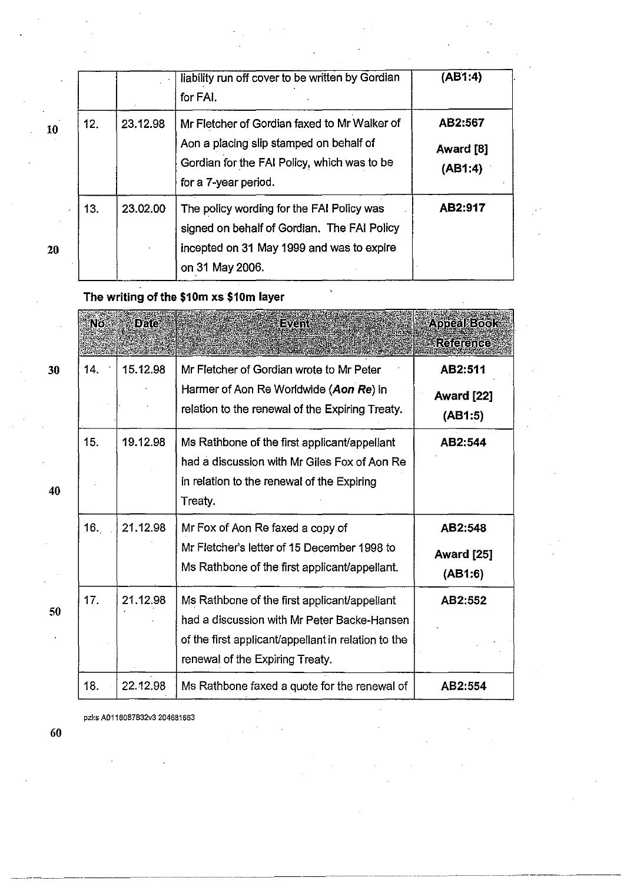|    |     |          | liability run off cover to be written by Gordian<br>for FAI.                                                                                                   | (AB1:4)                         |
|----|-----|----------|----------------------------------------------------------------------------------------------------------------------------------------------------------------|---------------------------------|
| 10 | 12. | 23.12.98 | Mr Fletcher of Gordian faxed to Mr Walker of<br>Aon a placing slip stamped on behalf of<br>Gordian for the FAI Policy, which was to be<br>for a 7-year period. | AB2:567<br>Award [8]<br>(AB1:4) |
| 20 | 13. | 23.02.00 | The policy wording for the FAI Policy was<br>signed on behalf of Gordian. The FAI Policy<br>incepted on 31 May 1999 and was to expire<br>on 31 May 2006.       | AB2:917                         |

 $\hat{\mathbf{v}}$ 

## The writing of the \$10m xs \$10m layer

|    | Ñõ  | <b>Date</b> | Event                                                                                                                                                                                 | <b>Appeal Book</b><br><b>Reference</b>  |
|----|-----|-------------|---------------------------------------------------------------------------------------------------------------------------------------------------------------------------------------|-----------------------------------------|
| 30 | 14. | 15.12.98    | Mr Fletcher of Gordian wrote to Mr Peter<br>Harmer of Aon Re Worldwide (Aon Re) in<br>relation to the renewal of the Expiring Treaty.                                                 | AB2:511<br>Award [22]<br>(AB1:5)        |
| 40 | 15. | 19.12.98    | Ms Rathbone of the first applicant/appellant<br>had a discussion with Mr Giles Fox of Aon Re<br>in relation to the renewal of the Expiring<br>Treaty.                                 | AB2:544                                 |
|    | 16. | 21.12.98    | Mr Fox of Aon Re faxed a copy of<br>Mr Fletcher's letter of 15 December 1998 to<br>Ms Rathbone of the first applicant/appellant.                                                      | AB2:548<br><b>Award [25]</b><br>(AB1:6) |
| 50 | 17. | 21.12.98    | Ms Rathbone of the first applicant/appellant<br>had a discussion with Mr Peter Backe-Hansen<br>of the first applicant/appellant in relation to the<br>renewal of the Expiring Treaty. | AB2:552                                 |
|    | 18. | 22.12.98    | Ms Rathbone faxed a quote for the renewal of                                                                                                                                          | AB2:554                                 |

 $\hat{\boldsymbol{\epsilon}}$ 

pzks A0116087832v3 204681663

40

50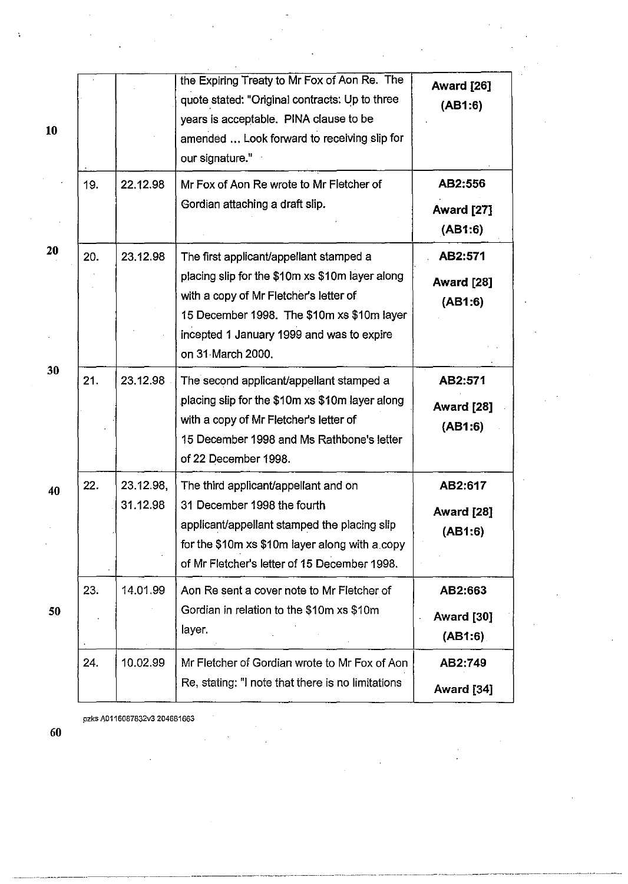| 10 |     |                       | the Expiring Treaty to Mr Fox of Aon Re. The<br>quote stated: "Original contracts: Up to three<br>years is acceptable. PINA clause to be<br>amended  Look forward to receiving slip for<br>our signature."                                           | <b>Award [26]</b><br>(AB1:6)            |
|----|-----|-----------------------|------------------------------------------------------------------------------------------------------------------------------------------------------------------------------------------------------------------------------------------------------|-----------------------------------------|
|    | 19. | 22.12.98              | Mr Fox of Aon Re wrote to Mr Fletcher of<br>Gordian attaching a draft slip.                                                                                                                                                                          | AB2:556<br>Award [27]<br>(AB1:6)        |
| 20 | 20. | 23.12.98              | The first applicant/appellant stamped a<br>placing slip for the \$10m xs \$10m layer along<br>with a copy of Mr Fletcher's letter of<br>15 December 1998. The \$10m xs \$10m layer<br>incepted 1 January 1999 and was to expire<br>on 31 March 2000. | AB2:571<br>Award [28]<br>(AB1:6)        |
| 30 | 21. | 23.12.98              | The second applicant/appellant stamped a<br>placing slip for the \$10m xs \$10m layer along<br>with a copy of Mr Fletcher's letter of<br>15 December 1998 and Ms Rathbone's letter<br>of 22 December 1998.                                           | AB2:571<br><b>Award [28]</b><br>(AB1:6) |
| 40 | 22. | 23.12.98,<br>31.12.98 | The third applicant/appellant and on<br>31 December 1998 the fourth<br>applicant/appellant stamped the placing slip<br>for the \$10m xs \$10m layer along with a copy<br>of Mr Fletcher's letter of 15 December 1998.                                | AB2:617<br>Award [28]<br>(AB1:6)        |
| 50 | 23. | 14.01.99              | Aon Re sent a cover note to Mr Fletcher of<br>Gordian in relation to the \$10m xs \$10m<br>layer.                                                                                                                                                    | AB2:663<br>Award [30]<br>(AB1:6)        |
|    | 24. | 10.02.99              | Mr Fletcher of Gordian wrote to Mr Fox of Aon<br>Re, stating: "I note that there is no limitations                                                                                                                                                   | AB2:749<br>Award [34]                   |

----------------------- .\_--- ---- -- ----- ----- -------------------------------- -------------

pzks A0116087832v3 204681663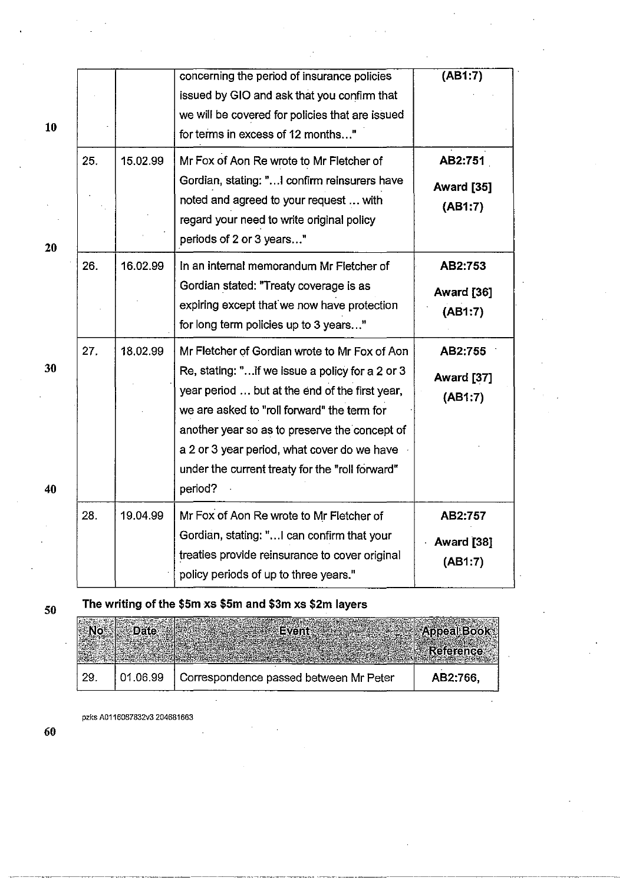| 10       |     |          | concerning the period of insurance policies<br>issued by GIO and ask that you confirm that<br>we will be covered for policies that are issued<br>for terms in excess of 12 months"                                                                                                                                                                              | (AB1:7)                          |
|----------|-----|----------|-----------------------------------------------------------------------------------------------------------------------------------------------------------------------------------------------------------------------------------------------------------------------------------------------------------------------------------------------------------------|----------------------------------|
| 20       | 25. | 15.02.99 | Mr Fox of Aon Re wrote to Mr Fletcher of<br>Gordian, stating: " I confirm reinsurers have<br>noted and agreed to your request  with<br>regard your need to write original policy<br>periods of 2 or 3 years"                                                                                                                                                    | AB2:751<br>Award [35]<br>(AB1:7) |
|          | 26. | 16.02.99 | In an internal memorandum Mr Fletcher of<br>Gordian stated: "Treaty coverage is as<br>expiring except that we now have protection<br>for long term policies up to 3 years"                                                                                                                                                                                      | AB2:753<br>Award [36]<br>(AB1:7) |
| 30<br>40 | 27. | 18.02.99 | Mr Fletcher of Gordian wrote to Mr Fox of Aon<br>Re, stating: "if we issue a policy for a 2 or 3<br>year period  but at the end of the first year,<br>we are asked to "roll forward" the term for<br>another year so as to preserve the concept of<br>a 2 or 3 year period, what cover do we have<br>under the current treaty for the "roll forward"<br>period? | AB2:755<br>Award [37]<br>(AB1:7) |
|          | 28. | 19.04.99 | Mr Fox of Aon Re wrote to Mr Fletcher of<br>Gordian, stating: " can confirm that your<br>treaties provide reinsurance to cover original<br>policy periods of up to three years."                                                                                                                                                                                | AB2:757<br>Award [38]<br>(AB1:7) |

# 50 The writing of the \$5m xs \$5m and \$3m xs \$2m layers

| -29. | 01.06.99 | Correspondence passed between Mr Peter | AB2:766,                        |
|------|----------|----------------------------------------|---------------------------------|
|      |          |                                        | Appeal Book<br><b>Reference</b> |

pzks A0116087832v3 204681663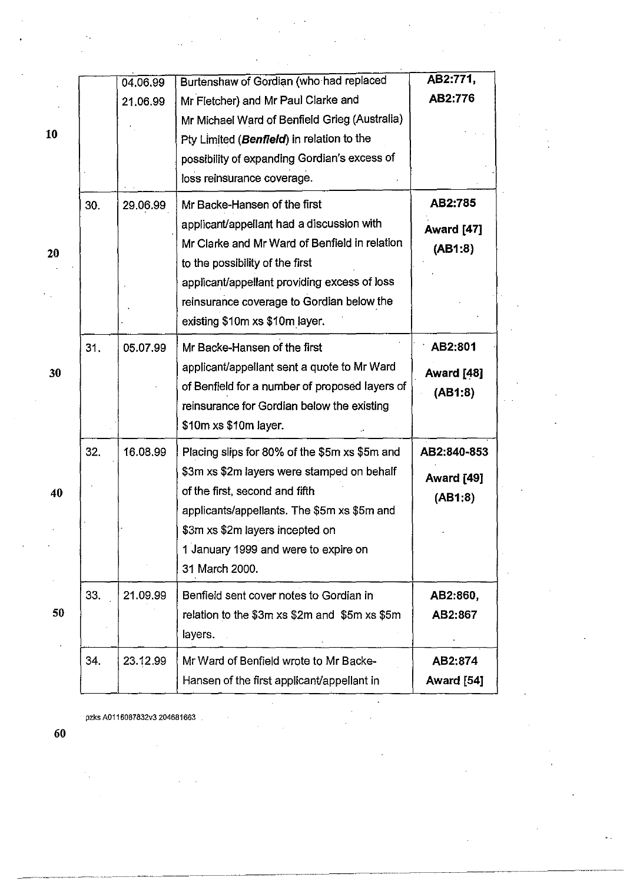|    |     | 04.06.99 | Burtenshaw of Gordian (who had replaced        | AB2:771,          |
|----|-----|----------|------------------------------------------------|-------------------|
|    |     | 21,06.99 | Mr Fletcher) and Mr Paul Clarke and            | AB2:776           |
|    |     |          | Mr Michael Ward of Benfield Grieg (Australia)  |                   |
| 10 |     |          | Pty Limited (Benfield) in relation to the      |                   |
|    |     |          | possibility of expanding Gordian's excess of   |                   |
|    |     |          | loss reinsurance coverage.                     |                   |
|    | 30. | 29.06.99 | Mr Backe-Hansen of the first                   | AB2:785           |
|    |     |          | applicant/appellant had a discussion with      | <b>Award [47]</b> |
|    |     |          | Mr Clarke and Mr Ward of Benfield in relation  | (AB1:8)           |
| 20 |     |          | to the possibility of the first                |                   |
|    |     |          | applicant/appellant providing excess of loss   |                   |
|    |     |          | reinsurance coverage to Gordian below the      |                   |
|    |     |          | existing \$10m xs \$10m layer.                 |                   |
|    | 31. | 05.07.99 | Mr Backe-Hansen of the first                   | AB2:801           |
| 30 |     |          | applicant/appellant sent a quote to Mr Ward    | <b>Award [48]</b> |
|    |     |          | of Benfield for a number of proposed layers of | (AB1:8)           |
|    |     |          | reinsurance for Gordian below the existing     |                   |
|    |     |          | \$10m xs \$10m layer.                          |                   |
|    | 32. | 16.08.99 | Placing slips for 80% of the \$5m xs \$5m and  | AB2:840-853       |
|    |     |          | \$3m xs \$2m layers were stamped on behalf     | Award [49]        |
| 40 |     |          | of the first, second and fifth                 | (AB1:8)           |
|    |     |          | applicants/appellants. The \$5m xs \$5m and    |                   |
|    |     |          | \$3m xs \$2m layers incepted on                |                   |
|    |     |          | 1 January 1999 and were to expire on           |                   |
|    |     |          | 31 March 2000.                                 |                   |
|    | 33. | 21.09.99 | Benfield sent cover notes to Gordian in        | AB2:860,          |
| 50 |     |          | relation to the \$3m xs \$2m and \$5m xs \$5m  | AB2:867           |
|    |     |          | layers.                                        |                   |
|    | 34. | 23.12.99 | Mr Ward of Benfield wrote to Mr Backe-         | AB2:874           |
|    |     |          | Hansen of the first applicant/appellant in     | Award [54]        |
|    |     |          |                                                |                   |

pzks A0116087832v3 204681663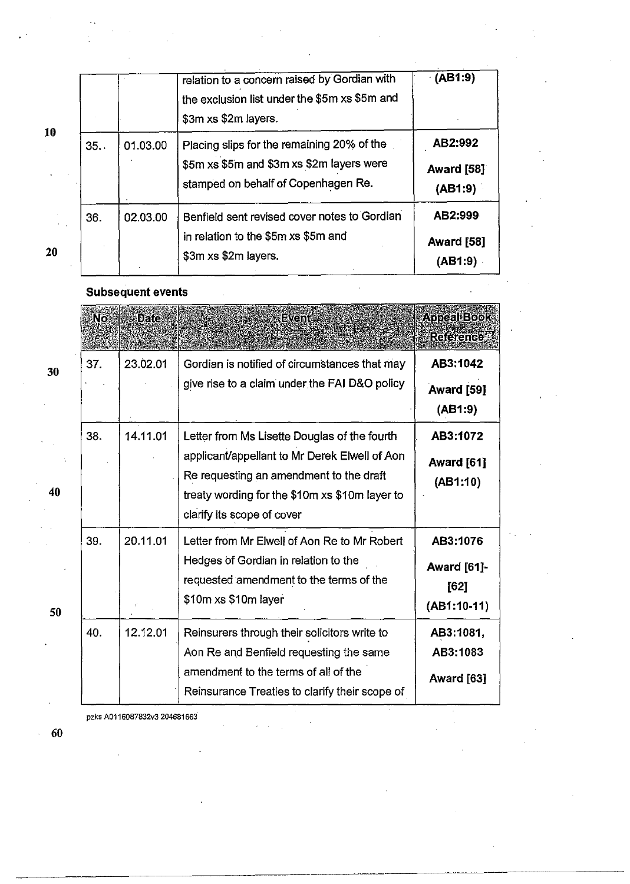|    |     |          | relation to a concern raised by Gordian with<br>the exclusion list under the \$5m xs \$5m and<br>\$3m xs \$2m layers.          | (AB1:9)                                 |
|----|-----|----------|--------------------------------------------------------------------------------------------------------------------------------|-----------------------------------------|
| 10 | 35. | 01.03.00 | Placing slips for the remaining 20% of the<br>\$5m xs \$5m and \$3m xs \$2m layers were<br>stamped on behalf of Copenhagen Re. | AB2:992<br>Award [58]<br>(AB1:9)        |
| 20 | 36. | 02.03.00 | Benfield sent revised cover notes to Gordian<br>in relation to the \$5m xs \$5m and<br>\$3m xs \$2m layers.                    | AB2:999<br><b>Award</b> [58]<br>(AB1:9) |

 $\ddot{\phantom{0}}$ 

## Subsequent events

|    | No. | Daa      | Event                                                                                                                                                                                                                    | Appeal Book<br>Reference                                |
|----|-----|----------|--------------------------------------------------------------------------------------------------------------------------------------------------------------------------------------------------------------------------|---------------------------------------------------------|
| 30 | 37. | 23.02.01 | Gordian is notified of circumstances that may<br>give rise to a claim under the FAI D&O policy                                                                                                                           | AB3:1042<br>Award [59]<br>(AB1:9)                       |
| 40 | 38. | 14.11.01 | Letter from Ms Lisette Douglas of the fourth<br>applicant/appellant to Mr Derek Elwell of Aon<br>Re requesting an amendment to the draft<br>treaty wording for the \$10m xs \$10m layer to<br>clarify its scope of cover | AB3:1072<br>Award [61]<br>(AB1:10)                      |
| 50 | 39. | 20.11.01 | Letter from Mr Elwell of Aon Re to Mr Robert<br>Hedges of Gordian in relation to the<br>requested amendment to the terms of the<br>\$10m xs \$10m layer                                                                  | AB3:1076<br><b>Award</b> [61]-<br>[62]<br>$(AB1:10-11)$ |
|    | 40. | 12.12.01 | Reinsurers through their solicitors write to<br>Aon Re and Benfield requesting the same<br>amendment to the terms of all of the<br>Reinsurance Treaties to clarify their scope of                                        | AB3:1081,<br>AB3:1083<br>Award [63]                     |

pzks A0116087832v3 204681663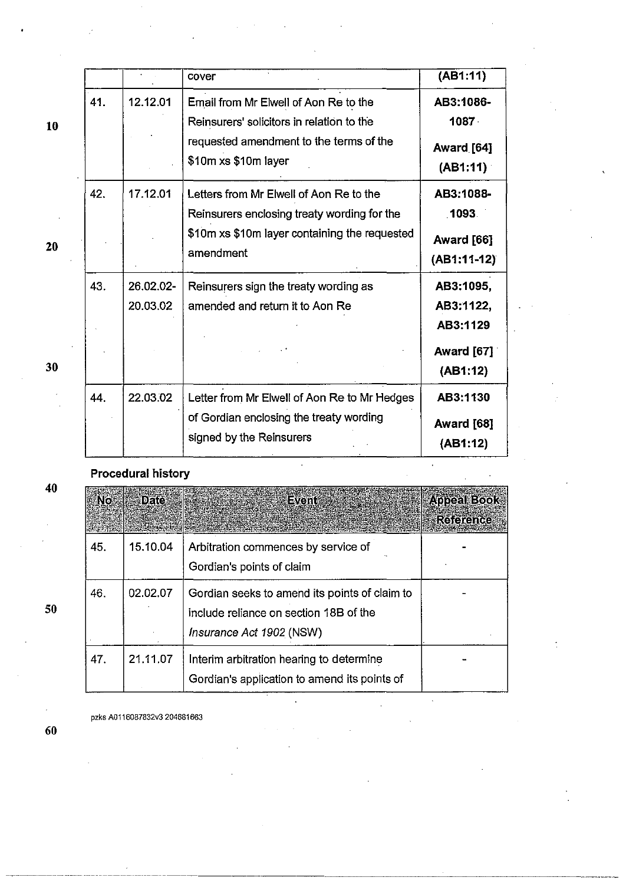|    |     |                       | cover                                                                                                               | (AB1:11)                           |
|----|-----|-----------------------|---------------------------------------------------------------------------------------------------------------------|------------------------------------|
| 10 | 41. | 12.12.01              | Email from Mr Elwell of Aon Re to the<br>Reinsurers' solicitors in relation to the                                  | AB3:1086-<br>$1087 -$              |
|    |     |                       | requested amendment to the terms of the<br>\$10m xs \$10m layer                                                     | Award [64]<br>(AB1:11)             |
|    | 42. | 17.12.01              | Letters from Mr Elwell of Aon Re to the<br>Reinsurers enclosing treaty wording for the                              | AB3:1088-<br>1093                  |
| 20 |     |                       | \$10m xs \$10m layer containing the requested<br>amendment                                                          | Award [66]<br>$(AB1:11-12)$        |
|    | 43. | 26.02.02-<br>20.03.02 | Reinsurers sign the treaty wording as<br>amended and return it to Aon Re                                            | AB3:1095,<br>AB3:1122,<br>AB3:1129 |
| 30 |     |                       |                                                                                                                     | <b>Award [67]</b><br>(AB1:12)      |
|    | 44. | 22.03.02              | Letter from Mr Elwell of Aon Re to Mr Hedges<br>of Gordian enclosing the treaty wording<br>signed by the Reinsurers | AB3:1130<br>Award [68]<br>(AB1:12) |

## Procedural history

| 40 | <b>No</b> | <b>Oalex</b> | <b>Event</b> <i>Event Reserve</i>                                                                                   | <b>Appeal Book</b><br><b>Reference</b> |
|----|-----------|--------------|---------------------------------------------------------------------------------------------------------------------|----------------------------------------|
| 50 | 45.       | 15.10.04     | Arbitration commences by service of<br>Gordian's points of claim                                                    |                                        |
|    | 46.       | 02.02.07     | Gordian seeks to amend its points of claim to<br>include reliance on section 18B of the<br>Insurance Act 1902 (NSW) |                                        |
|    | 47.       | 21.11.07     | Interim arbitration hearing to determine<br>Gordian's application to amend its points of                            |                                        |

 $\ddot{\phantom{a}}$ 

 $\ddot{\phantom{0}}$ 

 $\ddot{\cdot}$ 

pzks A0116087832v3 204681663

20

40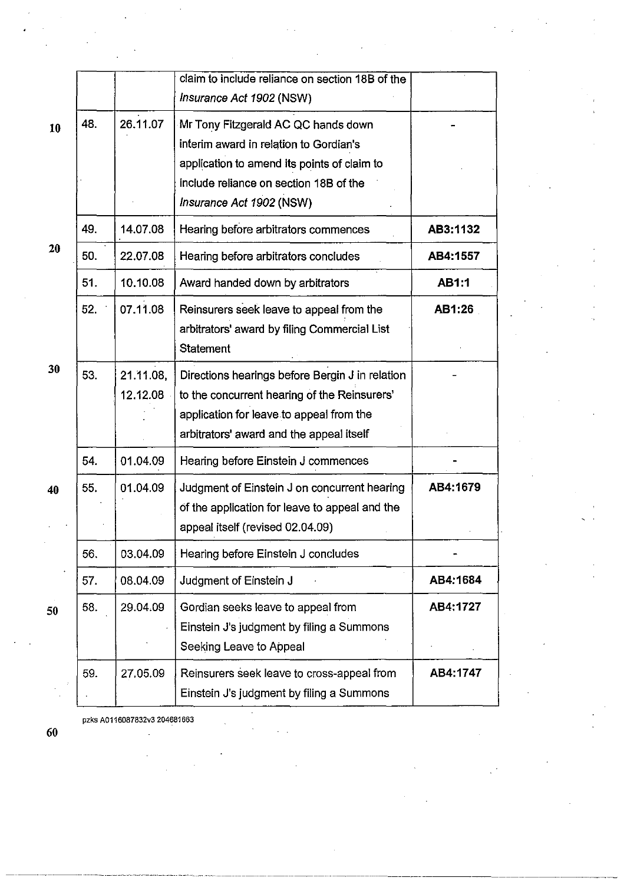|    |     |                       | claim to include reliance on section 18B of the<br>Insurance Act 1902 (NSW)                                                                                                                        |              |
|----|-----|-----------------------|----------------------------------------------------------------------------------------------------------------------------------------------------------------------------------------------------|--------------|
| 10 | 48. | 26.11.07              | Mr Tony Fitzgerald AC QC hands down<br>interim award in relation to Gordian's<br>application to amend its points of claim to<br>include reliance on section 18B of the<br>Insurance Act 1902 (NSW) |              |
|    | 49. | 14.07.08              | Hearing before arbitrators commences                                                                                                                                                               | AB3:1132     |
| 20 | 50. | 22.07.08              | Hearing before arbitrators concludes                                                                                                                                                               | AB4:1557     |
|    | 51. | 10.10.08              | Award handed down by arbitrators                                                                                                                                                                   | <b>AB1:1</b> |
|    | 52. | 07.11.08              | Reinsurers seek leave to appeal from the<br>arbitrators' award by filing Commercial List<br><b>Statement</b>                                                                                       | AB1:26       |
| 30 | 53. | 21.11.08,<br>12.12.08 | Directions hearings before Bergin J in relation<br>to the concurrent hearing of the Reinsurers'<br>application for leave to appeal from the<br>arbitrators' award and the appeal itself            |              |
|    | 54. | 01.04.09              | Hearing before Einstein J commences                                                                                                                                                                |              |
| 40 | 55. | 01.04.09              | Judgment of Einstein J on concurrent hearing<br>of the application for leave to appeal and the<br>appeal itself (revised 02.04.09)                                                                 | AB4:1679     |
|    | 56. | 03.04.09              | Hearing before Einstein J concludes                                                                                                                                                                |              |
|    | 57. | 08.04.09              | Judgment of Einstein J                                                                                                                                                                             | AB4:1684     |
| 50 | 58. | 29.04.09              | Gordian seeks leave to appeal from<br>Einstein J's judgment by filing a Summons<br>Seeking Leave to Appeal                                                                                         | AB4:1727     |
|    | 59. | 27.05.09              | Reinsurers seek leave to cross-appeal from<br>Einstein J's judgment by filing a Summons                                                                                                            | AB4:1747     |
|    |     |                       |                                                                                                                                                                                                    |              |

pzks A0116087832v3 204681663